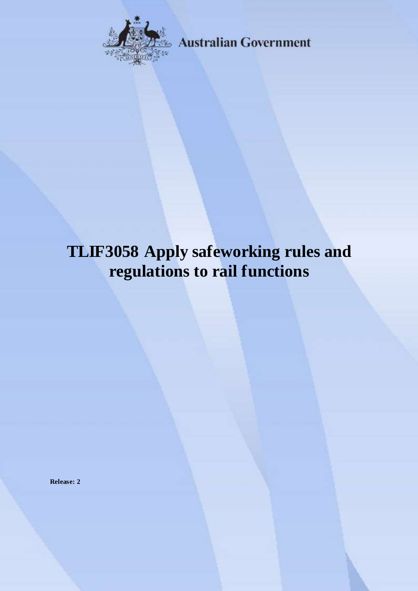

**Australian Government** 

# **TLIF3058 Apply safeworking rules and regulations to rail functions**

**Release: 2**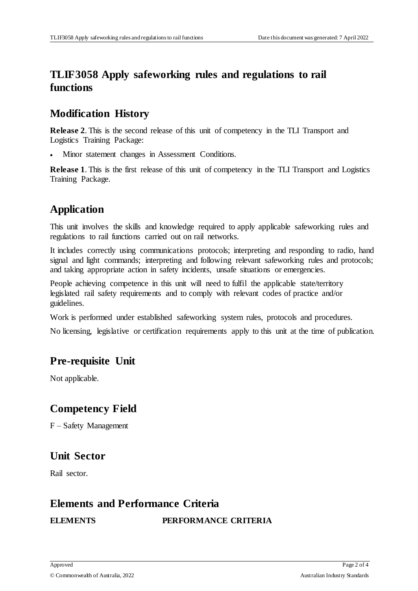# **TLIF3058 Apply safeworking rules and regulations to rail functions**

#### **Modification History**

**Release 2**. This is the second release of this unit of competency in the TLI Transport and Logistics Training Package:

Minor statement changes in Assessment Conditions.

**Release 1**. This is the first release of this unit of competency in the TLI Transport and Logistics Training Package.

# **Application**

This unit involves the skills and knowledge required to apply applicable safeworking rules and regulations to rail functions carried out on rail networks.

It includes correctly using communications protocols; interpreting and responding to radio, hand signal and light commands; interpreting and following relevant safeworking rules and protocols; and taking appropriate action in safety incidents, unsafe situations or emergencies.

People achieving competence in this unit will need to fulfil the applicable state/territory legislated rail safety requirements and to comply with relevant codes of practice and/or guidelines.

Work is performed under established safeworking system rules, protocols and procedures.

No licensing, legislative or certification requirements apply to this unit at the time of publication.

# **Pre-requisite Unit**

Not applicable.

# **Competency Field**

F – Safety Management

#### **Unit Sector**

Rail sector.

#### **Elements and Performance Criteria**

#### **ELEMENTS PERFORMANCE CRITERIA**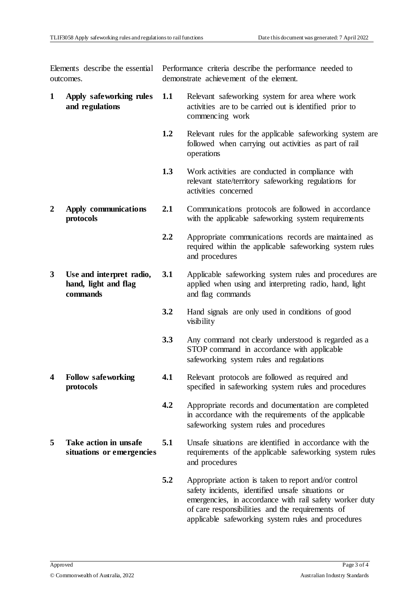Elements describe the essential outcomes.

Performance criteria describe the performance needed to demonstrate achievement of the element.

- **1 Apply safeworking rules and regulations 1.1** Relevant safeworking system for area where work activities are to be carried out is identified prior to commencing work
	- **1.2** Relevant rules for the applicable safeworking system are followed when carrying out activities as part of rail operations
	- **1.3** Work activities are conducted in compliance with relevant state/territory safeworking regulations for activities concerned
- **2 Apply communications protocols 2.1** Communications protocols are followed in accordance with the applicable safeworking system requirements
	- **2.2** Appropriate communications records are maintained as required within the applicable safeworking system rules and procedures
- **3 Use and interpret radio, hand, light and flag commands 3.1** Applicable safeworking system rules and procedures are applied when using and interpreting radio, hand, light and flag commands
	- **3.2** Hand signals are only used in conditions of good visibility
	- **3.3** Any command not clearly understood is regarded as a STOP command in accordance with applicable safeworking system rules and regulations
	- **4.1** Relevant protocols are followed as required and specified in safeworking system rules and procedures
		- **4.2** Appropriate records and documentation are completed in accordance with the requirements of the applicable safeworking system rules and procedures
- **5 Take action in unsafe situations or emergencies 5.1** Unsafe situations are identified in accordance with the requirements of the applicable safeworking system rules and procedures
	- **5.2** Appropriate action is taken to report and/or control safety incidents, identified unsafe situations or emergencies, in accordance with rail safety worker duty of care responsibilities and the requirements of applicable safeworking system rules and procedures

**4 Follow safeworking protocols**